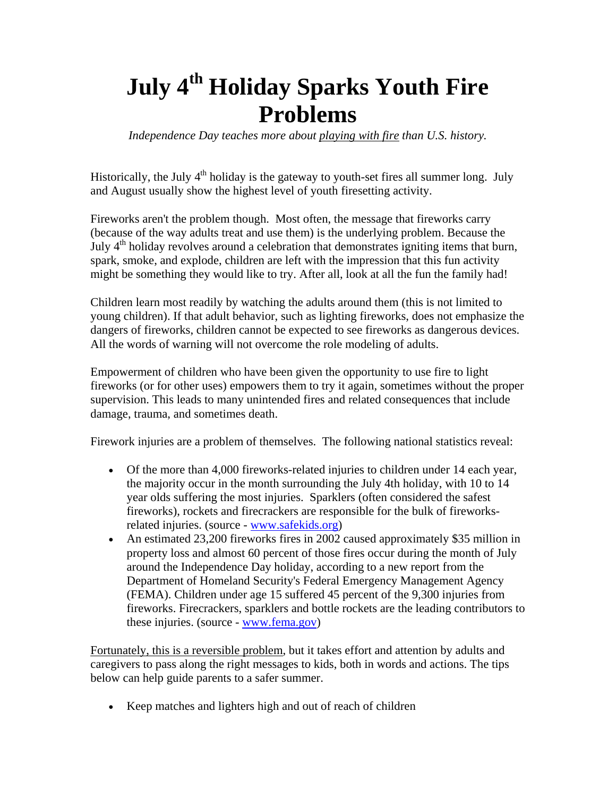## **July 4<sup>th</sup> Holiday Sparks Youth Fire Problems**

*Independence Day teaches more about playing with fire than U.S. history.* 

Historically, the July  $4<sup>th</sup>$  holiday is the gateway to youth-set fires all summer long. July and August usually show the highest level of youth firesetting activity.

Fireworks aren't the problem though. Most often, the message that fireworks carry (because of the way adults treat and use them) is the underlying problem. Because the July  $4<sup>th</sup>$  holiday revolves around a celebration that demonstrates igniting items that burn, spark, smoke, and explode, children are left with the impression that this fun activity might be something they would like to try. After all, look at all the fun the family had!

Children learn most readily by watching the adults around them (this is not limited to young children). If that adult behavior, such as lighting fireworks, does not emphasize the dangers of fireworks, children cannot be expected to see fireworks as dangerous devices. All the words of warning will not overcome the role modeling of adults.

Empowerment of children who have been given the opportunity to use fire to light fireworks (or for other uses) empowers them to try it again, sometimes without the proper supervision. This leads to many unintended fires and related consequences that include damage, trauma, and sometimes death.

Firework injuries are a problem of themselves. The following national statistics reveal:

- Of the more than 4,000 fireworks-related injuries to children under 14 each year, the majority occur in the month surrounding the July 4th holiday, with 10 to 14 year olds suffering the most injuries. Sparklers (often considered the safest fireworks), rockets and firecrackers are responsible for the bulk of fireworksrelated injuries. (source - [www.safekids.org](http://www.safekids.org/))
- An estimated 23,200 fireworks fires in 2002 caused approximately \$35 million in property loss and almost 60 percent of those fires occur during the month of July around the Independence Day holiday, according to a new report from the Department of Homeland Security's Federal Emergency Management Agency (FEMA). Children under age 15 suffered 45 percent of the 9,300 injuries from fireworks. Firecrackers, sparklers and bottle rockets are the leading contributors to these injuries. (source - [www.fema.gov\)](http://www.fema.gov/)

Fortunately, this is a reversible problem, but it takes effort and attention by adults and caregivers to pass along the right messages to kids, both in words and actions. The tips below can help guide parents to a safer summer.

• Keep matches and lighters high and out of reach of children